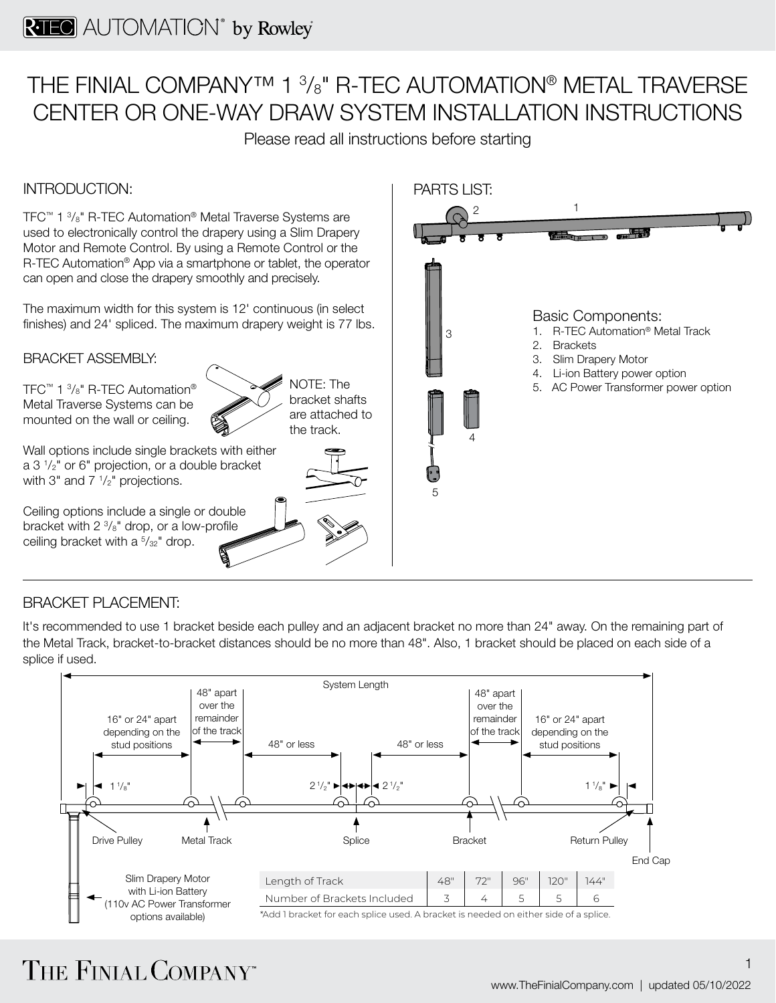## THE FINIAL COMPANY™ 1 3 /8" R-TEC AUTOMATION® METAL TRAVERSE CENTER OR ONE-WAY DRAW SYSTEM INSTALLATION INSTRUCTIONS

Please read all instructions before starting

#### INTRODUCTION:

TFC™ 1 3 /8" R-TEC Automation® Metal Traverse Systems are used to electronically control the drapery using a Slim Drapery Motor and Remote Control. By using a Remote Control or the R-TEC Automation<sup>®</sup> App via a smartphone or tablet, the operator can open and close the drapery smoothly and precisely.

The maximum width for this system is 12' continuous (in select finishes) and 24' spliced. The maximum drapery weight is 77 lbs.

BRACKET ASSEMBLY:

TFC™ 1 3 /8" R-TEC Automation® Metal Traverse Systems can be mounted on the wall or ceiling.

NOTE: The bracket shafts are attached to

Wall options include single brackets with either  $a 3<sup>1</sup>/2<sup>''</sup>$  or 6" projection, or a double bracket with 3" and  $7 \frac{1}{2}$ " projections.

Ceiling options include a single or double bracket with  $2 \frac{3}{8}$ " drop, or a low-profile ceiling bracket with a  $5/32$ " drop.





#### BRACKET PLACEMENT:

It's recommended to use 1 bracket beside each pulley and an adjacent bracket no more than 24" away. On the remaining part of the Metal Track, bracket-to-bracket distances should be no more than 48". Also, 1 bracket should be placed on each side of a splice if used.



# THE FINIAL COMPANY"

1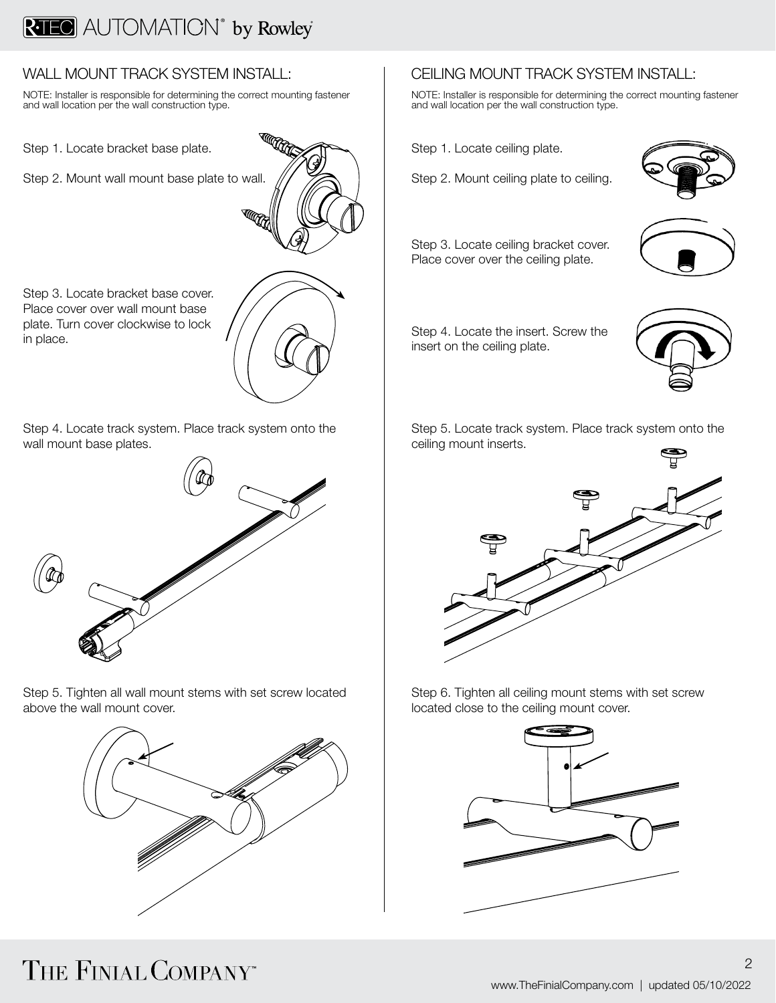### **RAILO** AUTOMATION<sup>®</sup> by Rowley

#### WALL MOUNT TRACK SYSTEM INSTALL:

NOTE: Installer is responsible for determining the correct mounting fastener and wall location per the wall construction type.

Step 1. Locate bracket base plate.

Step 2. Mount wall mount base plate to wall.



Step 3. Locate bracket base cover. Place cover over wall mount base plate. Turn cover clockwise to lock in place.

Step 4. Locate track system. Place track system onto the wall mount base plates.



Step 5. Tighten all wall mount stems with set screw located above the wall mount cover.



### CEILING MOUNT TRACK SYSTEM INSTALL:

NOTE: Installer is responsible for determining the correct mounting fastener and wall location per the wall construction type.

Step 1. Locate ceiling plate.

Step 2. Mount ceiling plate to ceiling.



Step 3. Locate ceiling bracket cover. Place cover over the ceiling plate.



Step 4. Locate the insert. Screw the insert on the ceiling plate.



Step 5. Locate track system. Place track system onto the ceiling mount inserts.



Step 6. Tighten all ceiling mount stems with set screw located close to the ceiling mount cover.



## THE FINIAL COMPANY"